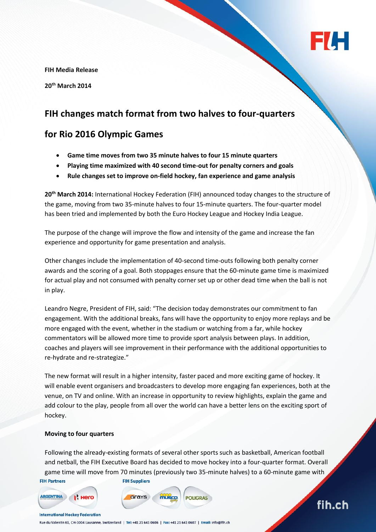

fih.ch

**FIH Media Release**

**20th March 2014**

# **FIH changes match format from two halves to four-quarters**

## **for Rio 2016 Olympic Games**

- **Game time moves from two 35 minute halves to four 15 minute quarters**
- **Playing time maximized with 40 second time-out for penalty corners and goals**
- **Rule changes set to improve on-field hockey, fan experience and game analysis**

**20th March 2014:** International Hockey Federation (FIH) announced today changes to the structure of the game, moving from two 35-minute halves to four 15-minute quarters. The four-quarter model has been tried and implemented by both the Euro Hockey League and Hockey India League.

The purpose of the change will improve the flow and intensity of the game and increase the fan experience and opportunity for game presentation and analysis.

Other changes include the implementation of 40-second time-outs following both penalty corner awards and the scoring of a goal. Both stoppages ensure that the 60-minute game time is maximized for actual play and not consumed with penalty corner set up or other dead time when the ball is not in play.

Leandro Negre, President of FIH, said: "The decision today demonstrates our commitment to fan engagement. With the additional breaks, fans will have the opportunity to enjoy more replays and be more engaged with the event, whether in the stadium or watching from a far, while hockey commentators will be allowed more time to provide sport analysis between plays. In addition, coaches and players will see improvement in their performance with the additional opportunities to re-hydrate and re-strategize."

The new format will result in a higher intensity, faster paced and more exciting game of hockey. It will enable event organisers and broadcasters to develop more engaging fan experiences, both at the venue, on TV and online. With an increase in opportunity to review highlights, explain the game and add colour to the play, people from all over the world can have a better lens on the exciting sport of hockey.

#### **Moving to four quarters**

Following the already-existing formats of several other sports such as basketball, American football and netball, the FIH Executive Board has decided to move hockey into a four-quarter format. Overall game time will move from 70 minutes (previously two 35-minute halves) to a 60-minute game with

**POLIGRAS** 

**FIH Partners** 

**FIH Suppliers** 





**International Hockey Federation** 

Rue du Valentin 61, CH-1004 Lausanne, Switzerland | Tel: +41 21 641 0606 | Fax: +41 21 641 0607 | Email: info@fih.ch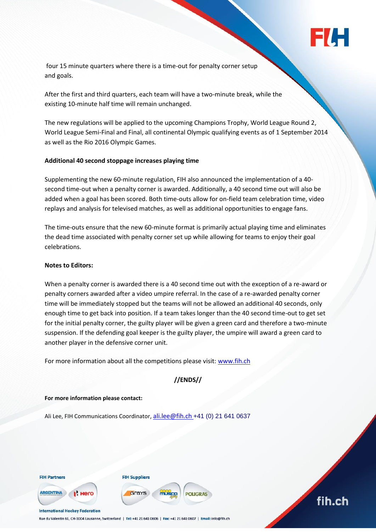

four 15 minute quarters where there is a time-out for penalty corner setup and goals.

After the first and third quarters, each team will have a two-minute break, while the existing 10-minute half time will remain unchanged.

The new regulations will be applied to the upcoming Champions Trophy, World League Round 2, World League Semi-Final and Final, all continental Olympic qualifying events as of 1 September 2014 as well as the Rio 2016 Olympic Games.

#### **Additional 40 second stoppage increases playing time**

Supplementing the new 60-minute regulation, FIH also announced the implementation of a 40 second time-out when a penalty corner is awarded. Additionally, a 40 second time out will also be added when a goal has been scored. Both time-outs allow for on-field team celebration time, video replays and analysis for televised matches, as well as additional opportunities to engage fans.

The time-outs ensure that the new 60-minute format is primarily actual playing time and eliminates the dead time associated with penalty corner set up while allowing for teams to enjoy their goal celebrations.

#### **Notes to Editors:**

When a penalty corner is awarded there is a 40 second time out with the exception of a re-award or penalty corners awarded after a video umpire referral. In the case of a re-awarded penalty corner time will be immediately stopped but the teams will not be allowed an additional 40 seconds, only enough time to get back into position. If a team takes longer than the 40 second time-out to get set for the initial penalty corner, the guilty player will be given a green card and therefore a two-minute suspension. If the defending goal keeper is the guilty player, the umpire will award a green card to another player in the defensive corner unit.

For more information about all the competitions please visit: [www.fih.ch](http://www.fih.ch/)

### **//ENDS//**

**POLIGRAS** 

#### **For more information please contact:**

Ali Lee, FIH Communications Coordinator, [ali.lee@fih.ch](mailto:ali.lee@fih.ch) +41 (0) 21 641 0637



**FIH Suppliers** 



**International Hockey Federation** 

Grays



Rue du Valentin 61, CH-1004 Lausanne, Switzerland | Tel: +41 21 641 0606 | Fax: +41 21 641 0607 | Email: info@fih.ch